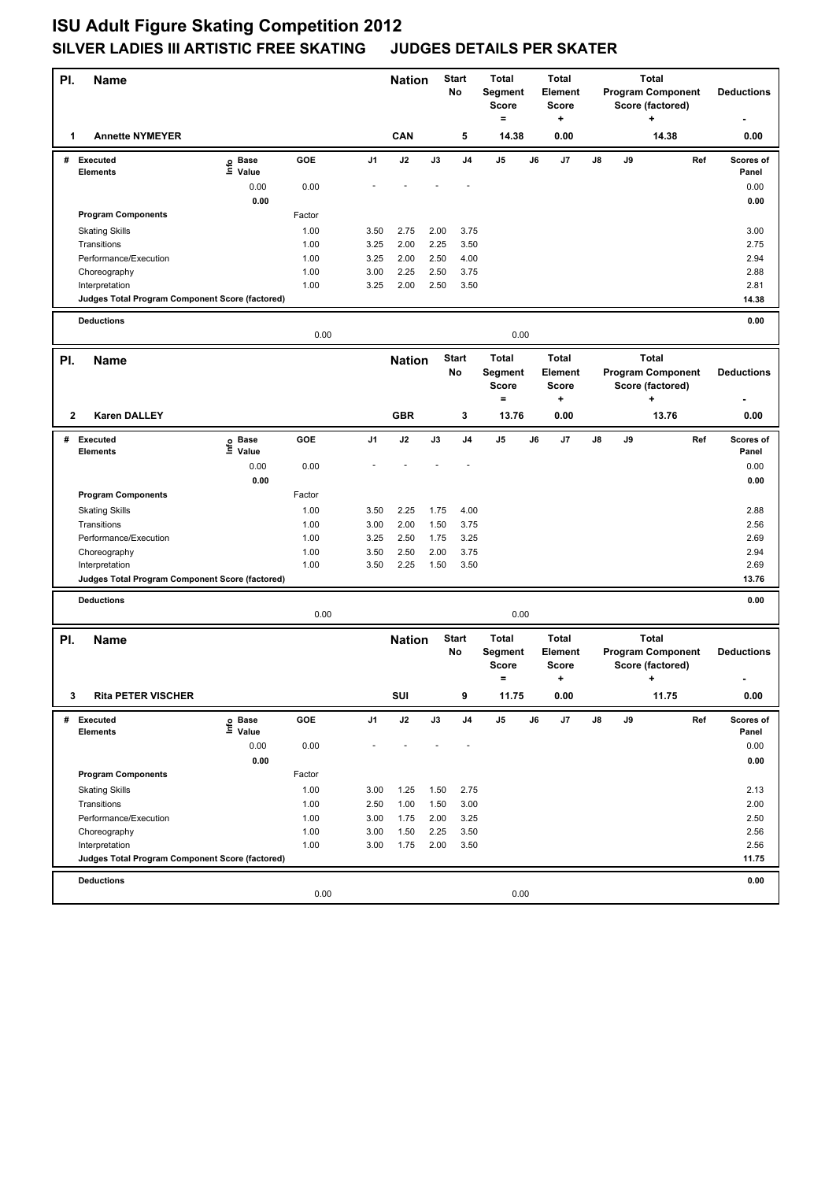## **ISU Adult Figure Skating Competition 2012 SILVER LADIES III ARTISTIC FREE SKATING JUDGES DETAILS PER SKATER**

| PI.          | Name                                                              |                       |              |                | <b>Nation</b> | Start<br>No   |                | <b>Total</b><br>Segment<br>Score<br>$=$ | <b>Total</b><br>Element<br><b>Score</b><br>+ |                                             | <b>Total</b><br><b>Program Component</b><br>Score (factored)<br>÷ |    |                               |                          | <b>Deductions</b>  |
|--------------|-------------------------------------------------------------------|-----------------------|--------------|----------------|---------------|---------------|----------------|-----------------------------------------|----------------------------------------------|---------------------------------------------|-------------------------------------------------------------------|----|-------------------------------|--------------------------|--------------------|
| 1            | <b>Annette NYMEYER</b>                                            |                       |              |                | CAN           |               | 5              | 14.38                                   |                                              | 0.00                                        |                                                                   |    | 14.38                         |                          | 0.00               |
| #            | <b>Executed</b><br><b>Elements</b>                                | e Base<br>⊑ Value     | GOE          | J <sub>1</sub> | J2            | J3            | J <sub>4</sub> | J5                                      | J6                                           | J7                                          | J8                                                                | J9 |                               | Ref                      | Scores of<br>Panel |
|              |                                                                   | 0.00                  | 0.00         |                |               |               |                |                                         |                                              |                                             |                                                                   |    |                               |                          | 0.00               |
|              |                                                                   | 0.00                  |              |                |               |               |                |                                         |                                              |                                             |                                                                   |    |                               |                          | 0.00               |
|              | <b>Program Components</b>                                         |                       | Factor       |                |               |               |                |                                         |                                              |                                             |                                                                   |    |                               |                          |                    |
|              | <b>Skating Skills</b>                                             |                       | 1.00         | 3.50           | 2.75          | 2.00          | 3.75           |                                         |                                              |                                             |                                                                   |    |                               |                          | 3.00               |
|              | Transitions                                                       |                       | 1.00         | 3.25           | 2.00          | 2.25          | 3.50           |                                         |                                              |                                             |                                                                   |    |                               |                          | 2.75               |
|              | Performance/Execution                                             |                       | 1.00         | 3.25           | 2.00          | 2.50          | 4.00<br>3.75   |                                         |                                              |                                             |                                                                   |    |                               |                          | 2.94               |
|              | Choreography<br>Interpretation                                    |                       | 1.00<br>1.00 | 3.00<br>3.25   | 2.25<br>2.00  | 2.50<br>2.50  | 3.50           |                                         |                                              |                                             |                                                                   |    |                               |                          | 2.88<br>2.81       |
|              | Judges Total Program Component Score (factored)                   |                       |              |                |               |               |                |                                         |                                              |                                             |                                                                   |    |                               |                          | 14.38              |
|              |                                                                   |                       |              |                |               |               |                |                                         |                                              |                                             |                                                                   |    |                               |                          |                    |
|              | <b>Deductions</b>                                                 |                       | 0.00<br>0.00 |                |               |               |                |                                         |                                              | 0.00                                        |                                                                   |    |                               |                          |                    |
| PI.          | <b>Name</b>                                                       |                       |              |                | <b>Nation</b> |               | <b>Start</b>   | <b>Total</b>                            |                                              | <b>Total</b>                                |                                                                   |    | <b>Total</b>                  |                          |                    |
|              |                                                                   |                       |              |                |               |               | No             | Segment<br><b>Score</b><br>$=$          |                                              | <b>Element</b><br><b>Score</b><br>$\ddot{}$ |                                                                   |    | Score (factored)<br>$\ddot{}$ | <b>Program Component</b> | <b>Deductions</b>  |
| $\mathbf{2}$ | <b>Karen DALLEY</b>                                               |                       |              |                | <b>GBR</b>    |               | 3              | 13.76                                   |                                              | 0.00                                        |                                                                   |    | 13.76                         |                          | 0.00               |
|              | # Executed<br><b>Elements</b>                                     | Base<br>١nfo<br>Value | GOE          | J <sub>1</sub> | J2            | J3            | J <sub>4</sub> | J5                                      | J6                                           | J7                                          | J8                                                                | J9 |                               | Ref                      | Scores of<br>Panel |
|              |                                                                   | 0.00                  | 0.00         |                |               |               |                |                                         |                                              |                                             |                                                                   |    |                               |                          | 0.00               |
|              |                                                                   | 0.00                  |              |                |               |               |                |                                         |                                              |                                             |                                                                   |    |                               |                          | 0.00               |
|              | <b>Program Components</b>                                         |                       | Factor       |                |               |               |                |                                         |                                              |                                             |                                                                   |    |                               |                          |                    |
|              | <b>Skating Skills</b>                                             |                       | 1.00         | 3.50           | 2.25          | 1.75          | 4.00           |                                         |                                              |                                             |                                                                   |    |                               |                          | 2.88               |
|              | Transitions                                                       |                       | 1.00         | 3.00           | 2.00          | 1.50          | 3.75           |                                         |                                              |                                             |                                                                   |    |                               |                          | 2.56               |
|              | Performance/Execution                                             |                       | 1.00         | 3.25           | 2.50          | 1.75          | 3.25           |                                         |                                              |                                             |                                                                   |    |                               |                          | 2.69               |
|              | Choreography                                                      |                       | 1.00         | 3.50           | 2.50          | 2.00          | 3.75           |                                         |                                              |                                             |                                                                   |    |                               |                          | 2.94               |
|              | Interpretation<br>Judges Total Program Component Score (factored) |                       | 1.00         | 3.50           | 2.25          | 1.50          | 3.50           |                                         |                                              |                                             |                                                                   |    |                               |                          | 2.69<br>13.76      |
|              |                                                                   |                       |              |                |               |               |                |                                         |                                              |                                             |                                                                   |    |                               |                          |                    |
|              | <b>Deductions</b>                                                 |                       | 0.00         |                |               |               |                | 0.00                                    |                                              |                                             |                                                                   |    |                               |                          | 0.00               |
| PI.          | Name                                                              |                       |              |                | <b>Nation</b> |               | <b>Start</b>   | <b>Total</b><br><b>Total</b>            |                                              |                                             |                                                                   |    | <b>Total</b>                  |                          |                    |
|              |                                                                   |                       |              |                |               |               | No             | Segment<br><b>Score</b><br>$\equiv$     |                                              | <b>Element</b><br><b>Score</b><br>٠         |                                                                   |    | Score (factored)<br>+         | <b>Program Component</b> | <b>Deductions</b>  |
| 3            | <b>Rita PETER VISCHER</b>                                         |                       |              |                | SUI           |               | ٥              | 11.75                                   |                                              | 0.00                                        |                                                                   |    | 11.75                         |                          | 0.00               |
| #            | Executed                                                          | e Base<br>⊑ Value     | GOE          | J1             | J2            | $\mathsf{J3}$ | J4             | J5                                      | J6                                           | J7                                          | J8                                                                | J9 |                               | Ref                      | Scores of          |
|              | Elements                                                          | 0.00                  | 0.00         |                |               |               |                |                                         |                                              |                                             |                                                                   |    |                               |                          | Panel<br>0.00      |
|              |                                                                   | 0.00                  |              |                |               |               |                |                                         |                                              |                                             |                                                                   |    |                               |                          | 0.00               |
|              | <b>Program Components</b>                                         |                       | Factor       |                |               |               |                |                                         |                                              |                                             |                                                                   |    |                               |                          |                    |
|              | <b>Skating Skills</b>                                             |                       | 1.00         | 3.00           | 1.25          | 1.50          | 2.75           |                                         |                                              |                                             |                                                                   |    |                               |                          | 2.13               |
|              | Transitions                                                       |                       | 1.00         | 2.50           | 1.00          | 1.50          | 3.00           |                                         |                                              |                                             |                                                                   |    |                               |                          | 2.00               |
|              | Performance/Execution                                             |                       | 1.00         | 3.00           | 1.75          | 2.00          | 3.25           |                                         |                                              |                                             |                                                                   |    |                               |                          | 2.50               |
|              | Choreography                                                      |                       | 1.00         | 3.00           | 1.50          | 2.25          | 3.50           |                                         |                                              |                                             |                                                                   |    |                               |                          | 2.56               |
|              | Interpretation                                                    |                       | 1.00         | 3.00           | 1.75          | 2.00          | 3.50           |                                         |                                              |                                             |                                                                   |    |                               |                          | 2.56               |
|              | Judges Total Program Component Score (factored)                   |                       |              |                |               |               |                |                                         |                                              |                                             |                                                                   |    |                               |                          | 11.75              |
|              | <b>Deductions</b>                                                 |                       | 0.00         |                |               |               |                | 0.00                                    |                                              |                                             |                                                                   |    |                               |                          | 0.00               |
|              |                                                                   |                       |              |                |               |               |                |                                         |                                              |                                             |                                                                   |    |                               |                          |                    |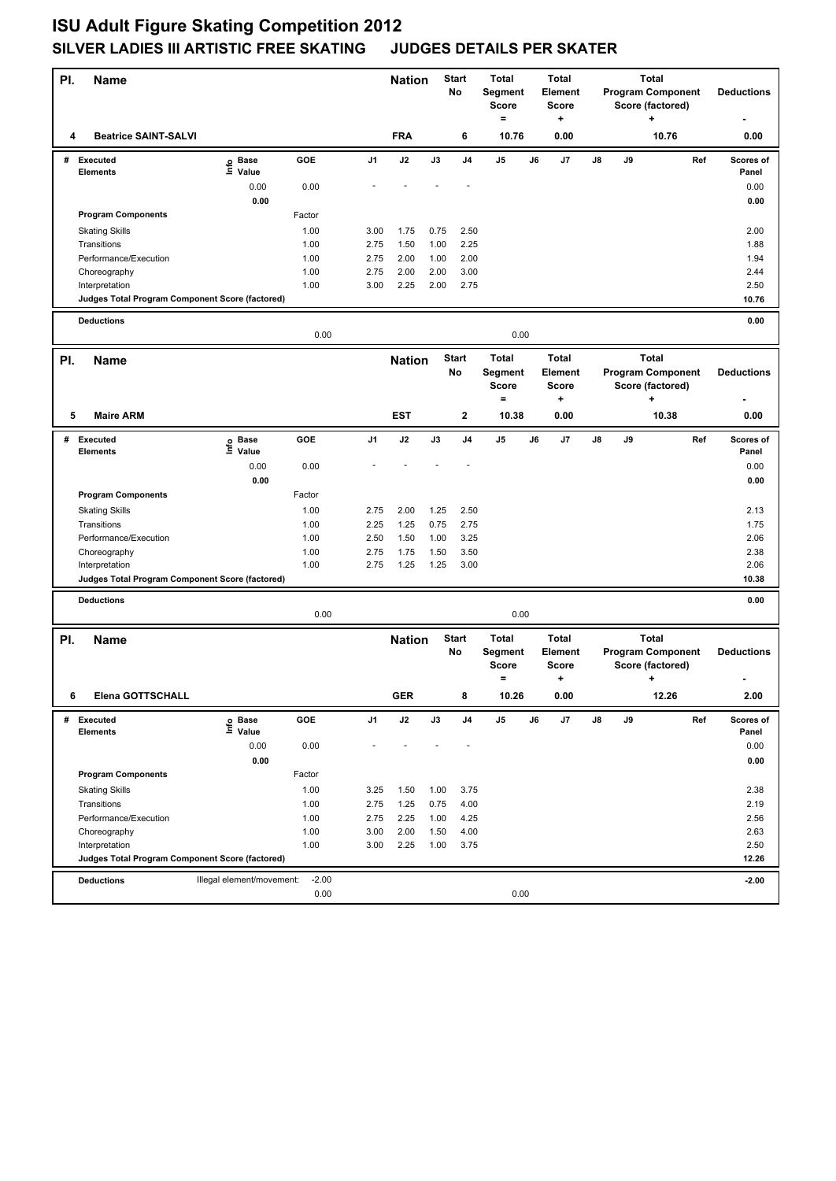## **ISU Adult Figure Skating Competition 2012 SILVER LADIES III ARTISTIC FREE SKATING JUDGES DETAILS PER SKATER**

| PI. | <b>Name</b>                                                       |                           |         |                | <b>Nation</b> |              | <b>Start</b><br>No | <b>Total</b><br>Segment<br><b>Score</b> |    | <b>Total</b><br>Element<br><b>Score</b> | <b>Program Component</b><br>Score (factored) |                                                              | <b>Total</b>                                      |     | <b>Deductions</b>  |
|-----|-------------------------------------------------------------------|---------------------------|---------|----------------|---------------|--------------|--------------------|-----------------------------------------|----|-----------------------------------------|----------------------------------------------|--------------------------------------------------------------|---------------------------------------------------|-----|--------------------|
| 4   | <b>Beatrice SAINT-SALVI</b>                                       |                           |         |                | <b>FRA</b>    |              | 6                  | $=$<br>10.76                            |    | +<br>0.00                               |                                              |                                                              | ٠<br>10.76                                        |     | 0.00               |
|     | # Executed<br><b>Elements</b>                                     | e Base<br>⊑ Value         | GOE     | J <sub>1</sub> | J2            | J3           | J4                 | J <sub>5</sub>                          | J6 | J7                                      | J8                                           | J9                                                           |                                                   | Ref | Scores of<br>Panel |
|     |                                                                   | 0.00                      | 0.00    |                |               |              |                    |                                         |    |                                         |                                              |                                                              |                                                   |     | 0.00               |
|     |                                                                   | 0.00                      |         |                |               |              |                    |                                         |    |                                         |                                              |                                                              |                                                   |     | 0.00               |
|     | <b>Program Components</b>                                         |                           | Factor  |                |               |              |                    |                                         |    |                                         |                                              |                                                              |                                                   |     |                    |
|     | <b>Skating Skills</b>                                             |                           | 1.00    | 3.00           | 1.75          | 0.75         | 2.50               |                                         |    |                                         |                                              |                                                              |                                                   |     | 2.00               |
|     | Transitions                                                       |                           | 1.00    | 2.75           | 1.50          | 1.00         | 2.25               |                                         |    |                                         |                                              |                                                              |                                                   |     | 1.88               |
|     | Performance/Execution                                             |                           | 1.00    | 2.75           | 2.00          | 1.00         | 2.00               |                                         |    |                                         |                                              |                                                              |                                                   |     | 1.94               |
|     | Choreography                                                      |                           | 1.00    | 2.75<br>3.00   | 2.00          | 2.00<br>2.00 | 3.00<br>2.75       |                                         |    |                                         |                                              |                                                              |                                                   |     | 2.44               |
|     | Interpretation<br>Judges Total Program Component Score (factored) |                           | 1.00    |                | 2.25          |              |                    |                                         |    |                                         |                                              |                                                              |                                                   |     | 2.50<br>10.76      |
|     |                                                                   |                           |         |                |               |              |                    |                                         |    |                                         |                                              |                                                              |                                                   |     |                    |
|     | <b>Deductions</b><br>0.00                                         |                           |         |                |               |              |                    | 0.00                                    |    |                                         |                                              |                                                              |                                                   |     | 0.00               |
| PI. | <b>Name</b>                                                       |                           |         |                | <b>Nation</b> |              | <b>Start</b><br>No | <b>Total</b><br>Segment<br><b>Score</b> |    | <b>Total</b><br>Element<br><b>Score</b> |                                              | <b>Total</b><br><b>Program Component</b><br>Score (factored) |                                                   |     | <b>Deductions</b>  |
|     |                                                                   |                           |         |                |               |              |                    | $=$                                     |    | +                                       |                                              |                                                              | ٠                                                 |     |                    |
| 5   | <b>Maire ARM</b>                                                  |                           |         |                | <b>EST</b>    |              | $\mathbf{2}$       | 10.38                                   |    | 0.00                                    |                                              |                                                              | 10.38                                             |     | 0.00               |
|     | # Executed                                                        | e Base<br>E Value         | GOE     | J1             | J2            | J3           | J <sub>4</sub>     | J5                                      | J6 | J7                                      | J8                                           | J9                                                           |                                                   | Ref | Scores of          |
|     | <b>Elements</b>                                                   |                           |         |                |               |              |                    |                                         |    |                                         |                                              |                                                              |                                                   |     | Panel              |
|     |                                                                   | 0.00<br>0.00              | 0.00    |                |               |              |                    |                                         |    |                                         |                                              |                                                              |                                                   |     | 0.00<br>0.00       |
|     | <b>Program Components</b>                                         |                           | Factor  |                |               |              |                    |                                         |    |                                         |                                              |                                                              |                                                   |     |                    |
|     | <b>Skating Skills</b>                                             |                           | 1.00    | 2.75           | 2.00          | 1.25         | 2.50               |                                         |    |                                         |                                              |                                                              |                                                   |     | 2.13               |
|     | Transitions                                                       |                           | 1.00    | 2.25           | 1.25          | 0.75         | 2.75               |                                         |    |                                         |                                              |                                                              |                                                   |     | 1.75               |
|     | Performance/Execution                                             |                           | 1.00    | 2.50           | 1.50          | 1.00         | 3.25               |                                         |    |                                         |                                              |                                                              |                                                   |     | 2.06               |
|     | Choreography                                                      |                           | 1.00    | 2.75           | 1.75          | 1.50         | 3.50               |                                         |    |                                         |                                              |                                                              |                                                   |     | 2.38               |
|     | Interpretation                                                    |                           | 1.00    | 2.75           | 1.25          | 1.25         | 3.00               |                                         |    |                                         |                                              |                                                              |                                                   |     | 2.06               |
|     | Judges Total Program Component Score (factored)                   |                           |         |                |               |              |                    |                                         |    |                                         |                                              |                                                              |                                                   |     | 10.38              |
|     | <b>Deductions</b>                                                 |                           | 0.00    |                |               |              |                    | 0.00                                    |    |                                         |                                              |                                                              |                                                   |     | 0.00               |
|     |                                                                   |                           |         |                |               |              |                    | <b>Total</b>                            |    | <b>Total</b>                            |                                              |                                                              | <b>Total</b>                                      |     |                    |
| PI. | <b>Name</b>                                                       |                           |         |                | <b>Nation</b> |              | <b>Start</b><br>No | Segment<br><b>Score</b><br>$\equiv$     |    | <b>Element</b><br><b>Score</b><br>٠     |                                              |                                                              | <b>Program Component</b><br>Score (factored)<br>+ |     | <b>Deductions</b>  |
| 6   | Elena GOTTSCHALL                                                  |                           |         |                | <b>GER</b>    |              |                    | 10.26                                   |    | 0.00                                    |                                              |                                                              | 12.26                                             |     | 2.00               |
| #   | <b>Executed</b>                                                   | e Base<br>⊑ Value         | GOE     | J1             | J2            | J3           | J4                 | J5                                      | J6 | J7                                      | J8                                           | J9                                                           |                                                   | Ref | Scores of          |
|     | <b>Elements</b>                                                   |                           |         |                |               |              |                    |                                         |    |                                         |                                              |                                                              |                                                   |     | Panel              |
|     |                                                                   | 0.00                      | 0.00    |                |               |              |                    |                                         |    |                                         |                                              |                                                              |                                                   |     | 0.00               |
|     | <b>Program Components</b>                                         | 0.00                      | Factor  |                |               |              |                    |                                         |    |                                         |                                              |                                                              |                                                   |     | 0.00               |
|     | <b>Skating Skills</b>                                             |                           | 1.00    | 3.25           | 1.50          | 1.00         | 3.75               |                                         |    |                                         |                                              |                                                              |                                                   |     | 2.38               |
|     | Transitions                                                       |                           | 1.00    | 2.75           | 1.25          | 0.75         | 4.00               |                                         |    |                                         |                                              |                                                              |                                                   |     | 2.19               |
|     | Performance/Execution                                             |                           | 1.00    | 2.75           | 2.25          | 1.00         | 4.25               |                                         |    |                                         |                                              |                                                              |                                                   |     | 2.56               |
|     | Choreography                                                      |                           | 1.00    | 3.00           | 2.00          | 1.50         | 4.00               |                                         |    |                                         |                                              |                                                              |                                                   |     | 2.63               |
|     | Interpretation                                                    |                           | 1.00    | 3.00           | 2.25          | 1.00         | 3.75               |                                         |    |                                         |                                              |                                                              |                                                   |     | 2.50               |
|     | Judges Total Program Component Score (factored)                   |                           |         |                |               |              |                    |                                         |    |                                         |                                              |                                                              |                                                   |     | 12.26              |
|     | <b>Deductions</b>                                                 | Illegal element/movement: | $-2.00$ |                |               |              |                    |                                         |    |                                         |                                              |                                                              |                                                   |     | $-2.00$            |
|     |                                                                   |                           | 0.00    |                |               |              |                    | 0.00                                    |    |                                         |                                              |                                                              |                                                   |     |                    |